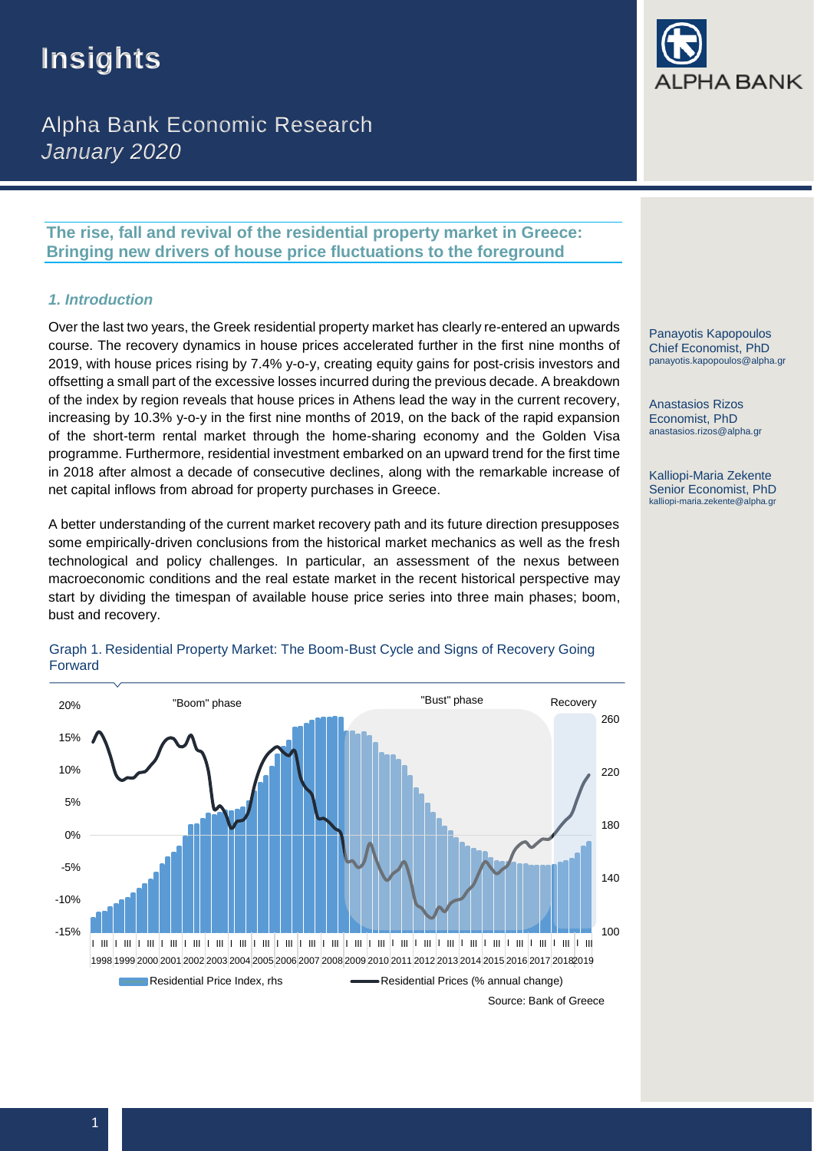# **Insights**

Alpha Bank Economic Research *January 2020*



# **The rise, fall and revival of the residential property market in Greece: Bringing new drivers of house price fluctuations to the foreground**

## *1. Introduction*

Over the last two years, the Greek residential property market has clearly re-entered an upwards course. The recovery dynamics in house prices accelerated further in the first nine months of 2019, with house prices rising by 7.4% y-o-y, creating equity gains for post-crisis investors and offsetting a small part of the excessive losses incurred during the previous decade. A breakdown of the index by region reveals that house prices in Athens lead the way in the current recovery, increasing by 10.3% y-o-y in the first nine months of 2019, on the back of the rapid expansion of the short-term rental market through the home-sharing economy and the Golden Visa programme. Furthermore, residential investment embarked on an upward trend for the first time in 2018 after almost a decade of consecutive declines, along with the remarkable increase of net capital inflows from abroad for property purchases in Greece.

A better understanding of the current market recovery path and its future direction presupposes some empirically-driven conclusions from the historical market mechanics as well as the fresh technological and policy challenges. In particular, an assessment of the nexus between macroeconomic conditions and the real estate market in the recent historical perspective may start by dividing the timespan of available house price series into three main phases; boom, bust and recovery.



Graph 1. Residential Property Market: The Boom-Bust Cycle and Signs of Recovery Going Forward

Panayotis Kapopoulos Chief Economist, PhD panayotis.kapopoulos@alpha.gr

Anastasios Rizos Economist, PhD anastasios.rizos@alpha.gr

Kalliopi-Maria Zekente Senior Economist, PhD kalliopi-maria.zekente@alpha.gr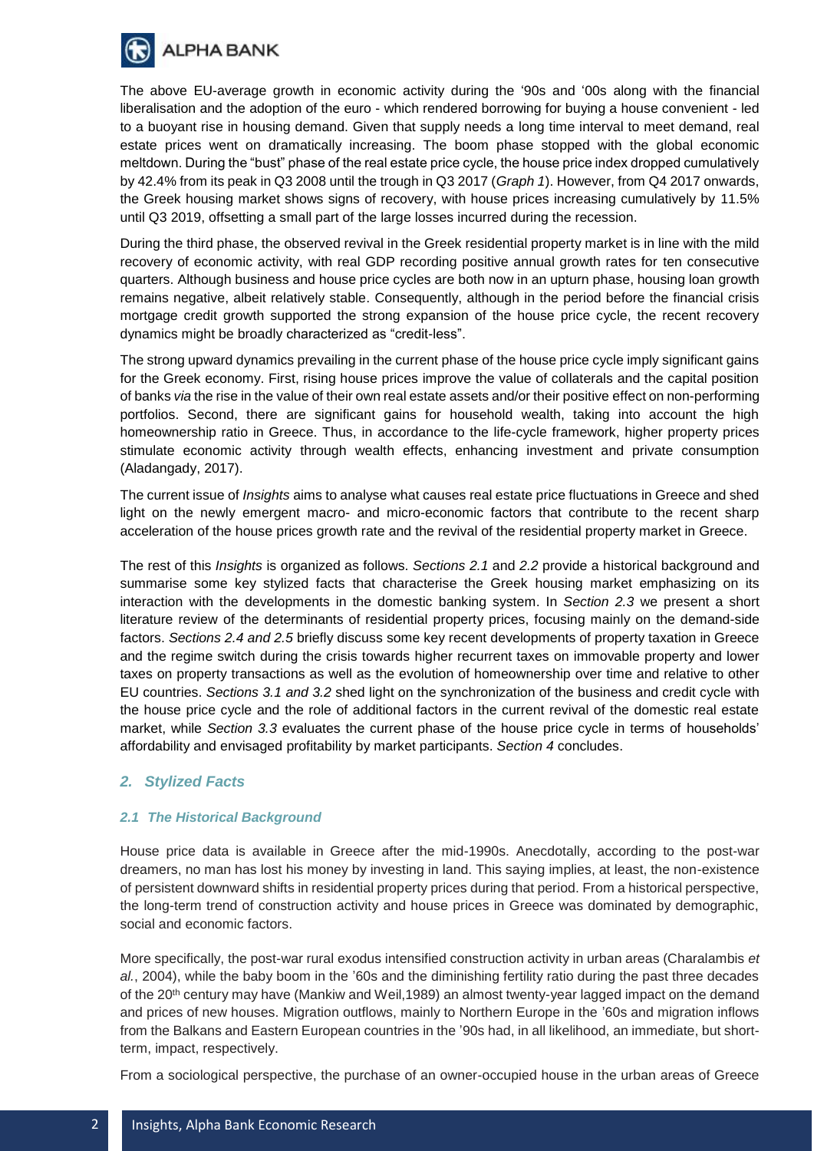

The above EU-average growth in economic activity during the '90s and '00s along with the financial liberalisation and the adoption of the euro - which rendered borrowing for buying a house convenient - led to a buoyant rise in housing demand. Given that supply needs a long time interval to meet demand, real estate prices went on dramatically increasing. The boom phase stopped with the global economic meltdown. During the "bust" phase of the real estate price cycle, the house price index dropped cumulatively by 42.4% from its peak in Q3 2008 until the trough in Q3 2017 (*Graph 1*). However, from Q4 2017 onwards, the Greek housing market shows signs of recovery, with house prices increasing cumulatively by 11.5% until Q3 2019, offsetting a small part of the large losses incurred during the recession.

During the third phase, the observed revival in the Greek residential property market is in line with the mild recovery of economic activity, with real GDP recording positive annual growth rates for ten consecutive quarters. Although business and house price cycles are both now in an upturn phase, housing loan growth remains negative, albeit relatively stable. Consequently, although in the period before the financial crisis mortgage credit growth supported the strong expansion of the house price cycle, the recent recovery dynamics might be broadly characterized as "credit-less".

The strong upward dynamics prevailing in the current phase of the house price cycle imply significant gains for the Greek economy. First, rising house prices improve the value of collaterals and the capital position of banks *via* the rise in the value of their own real estate assets and/or their positive effect on non-performing portfolios. Second, there are significant gains for household wealth, taking into account the high homeownership ratio in Greece. Thus, in accordance to the life-cycle framework, higher property prices stimulate economic activity through wealth effects, enhancing investment and private consumption (Aladangady, 2017).

The current issue of *Insights* aims to analyse what causes real estate price fluctuations in Greece and shed light on the newly emergent macro- and micro-economic factors that contribute to the recent sharp acceleration of the house prices growth rate and the revival of the residential property market in Greece.

The rest of this *Insights* is organized as follows. *Sections 2.1* and *2.2* provide a historical background and summarise some key stylized facts that characterise the Greek housing market emphasizing on its interaction with the developments in the domestic banking system. In *Section 2.3* we present a short literature review of the determinants of residential property prices, focusing mainly on the demand-side factors. *Sections 2.4 and 2.5* briefly discuss some key recent developments of property taxation in Greece and the regime switch during the crisis towards higher recurrent taxes on immovable property and lower taxes on property transactions as well as the evolution of homeownership over time and relative to other EU countries. *Sections 3.1 and 3.2* shed light on the synchronization of the business and credit cycle with the house price cycle and the role of additional factors in the current revival of the domestic real estate market, while *Section 3.3* evaluates the current phase of the house price cycle in terms of households' affordability and envisaged profitability by market participants. *Section 4* concludes.

#### *2. Stylized Facts*

#### *2.1 The Historical Background*

House price data is available in Greece after the mid-1990s. Anecdotally, according to the post-war dreamers, no man has lost his money by investing in land. This saying implies, at least, the non-existence of persistent downward shifts in residential property prices during that period. From a historical perspective, the long-term trend of construction activity and house prices in Greece was dominated by demographic, social and economic factors.

More specifically, the post-war rural exodus intensified construction activity in urban areas (Charalambis *et al.*, 2004), while the baby boom in the '60s and the diminishing fertility ratio during the past three decades of the 20<sup>th</sup> century may have (Mankiw and Weil,1989) an almost twenty-year lagged impact on the demand and prices of new houses. Migration outflows, mainly to Northern Europe in the '60s and migration inflows from the Balkans and Eastern European countries in the '90s had, in all likelihood, an immediate, but shortterm, impact, respectively.

From a sociological perspective, the purchase of an owner-occupied house in the urban areas of Greece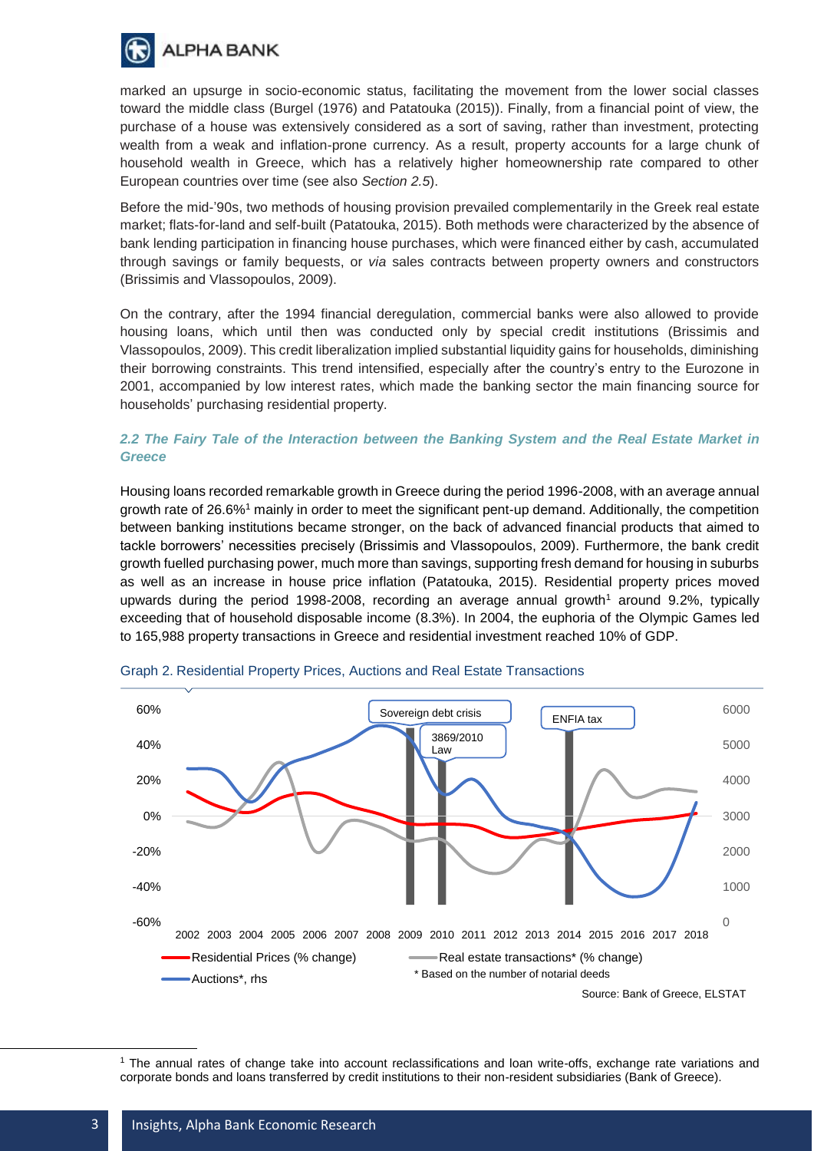

marked an upsurge in socio-economic status, facilitating the movement from the lower social classes toward the middle class (Burgel (1976) and Patatouka (2015)). Finally, from a financial point of view, the purchase of a house was extensively considered as a sort of saving, rather than investment, protecting wealth from a weak and inflation-prone currency. As a result, property accounts for a large chunk of household wealth in Greece, which has a relatively higher homeownership rate compared to other European countries over time (see also *Section 2.5*).

Before the mid-'90s, two methods of housing provision prevailed complementarily in the Greek real estate market; flats-for-land and self-built (Patatouka, 2015). Both methods were characterized by the absence of bank lending participation in financing house purchases, which were financed either by cash, accumulated through savings or family bequests, or *via* sales contracts between property owners and constructors (Brissimis and Vlassopoulos, 2009).

On the contrary, after the 1994 financial deregulation, commercial banks were also allowed to provide housing loans, which until then was conducted only by special credit institutions (Brissimis and Vlassopoulos, 2009). This credit liberalization implied substantial liquidity gains for households, diminishing their borrowing constraints. This trend intensified, especially after the country's entry to the Eurozone in 2001, accompanied by low interest rates, which made the banking sector the main financing source for households' purchasing residential property.

#### *2.2 The Fairy Tale of the Interaction between the Banking System and the Real Estate Market in Greece*

Housing loans recorded remarkable growth in Greece during the period 1996-2008, with an average annual growth rate of 26.6%<sup>1</sup> mainly in order to meet the significant pent-up demand. Additionally, the competition between banking institutions became stronger, on the back of advanced financial products that aimed to tackle borrowers' necessities precisely (Brissimis and Vlassopoulos, 2009). Furthermore, the bank credit growth fuelled purchasing power, much more than savings, supporting fresh demand for housing in suburbs as well as an increase in house price inflation (Patatouka, 2015). Residential property prices moved upwards during the period 1998-2008, recording an average annual growth<sup>1</sup> around 9.2%, typically exceeding that of household disposable income (8.3%). In 2004, the euphoria of the Olympic Games led to 165,988 property transactions in Greece and residential investment reached 10% of GDP.



#### Graph 2. Residential Property Prices, Auctions and Real Estate Transactions

<sup>1</sup> The annual rates of change take into account reclassifications and loan write-offs, exchange rate variations and corporate bonds and loans transferred by credit institutions to their non-resident subsidiaries (Bank of Greece).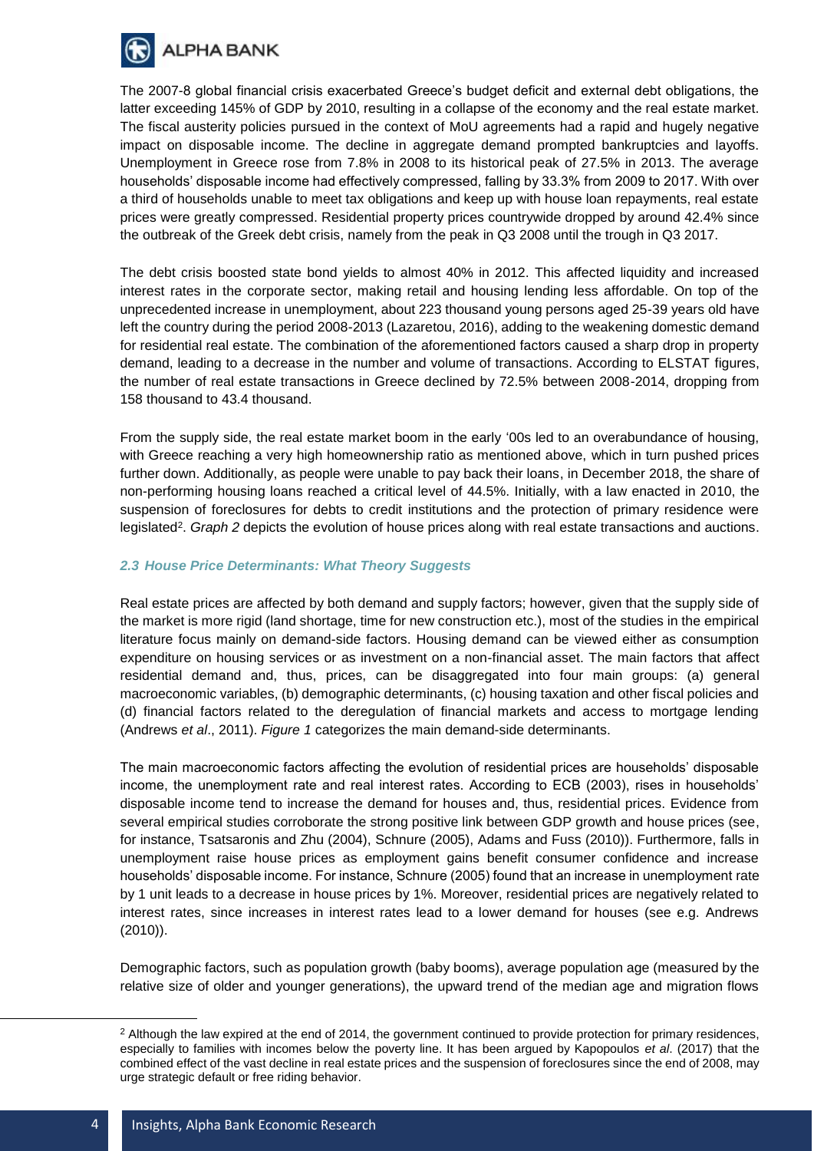

The 2007-8 global financial crisis exacerbated Greece's budget deficit and external debt obligations, the latter exceeding 145% of GDP by 2010, resulting in a collapse of the economy and the real estate market. The fiscal austerity policies pursued in the context of MoU agreements had a rapid and hugely negative impact on disposable income. The decline in aggregate demand prompted bankruptcies and layoffs. Unemployment in Greece rose from 7.8% in 2008 to its historical peak of 27.5% in 2013. The average households' disposable income had effectively compressed, falling by 33.3% from 2009 to 2017. With over a third of households unable to meet tax obligations and keep up with house loan repayments, real estate prices were greatly compressed. Residential property prices countrywide dropped by around 42.4% since the outbreak of the Greek debt crisis, namely from the peak in Q3 2008 until the trough in Q3 2017.

The debt crisis boosted state bond yields to almost 40% in 2012. This affected liquidity and increased interest rates in the corporate sector, making retail and housing lending less affordable. On top of the unprecedented increase in unemployment, about 223 thousand young persons aged 25-39 years old have left the country during the period 2008-2013 (Lazaretou, 2016), adding to the weakening domestic demand for residential real estate. The combination of the aforementioned factors caused a sharp drop in property demand, leading to a decrease in the number and volume of transactions. According to ELSTAT figures, the number of real estate transactions in Greece declined by 72.5% between 2008-2014, dropping from 158 thousand to 43.4 thousand.

From the supply side, the real estate market boom in the early '00s led to an overabundance of housing, with Greece reaching a very high homeownership ratio as mentioned above, which in turn pushed prices further down. Additionally, as people were unable to pay back their loans, in December 2018, the share of non-performing housing loans reached a critical level of 44.5%. Initially, with a law enacted in 2010, the suspension of foreclosures for debts to credit institutions and the protection of primary residence were legislated<sup>2</sup>. *Graph* 2 depicts the evolution of house prices along with real estate transactions and auctions.

## *2.3 House Price Determinants: What Theory Suggests*

Real estate prices are affected by both demand and supply factors; however, given that the supply side of the market is more rigid (land shortage, time for new construction etc.), most of the studies in the empirical literature focus mainly on demand-side factors. Housing demand can be viewed either as consumption expenditure on housing services or as investment on a non-financial asset. The main factors that affect residential demand and, thus, prices, can be disaggregated into four main groups: (a) general macroeconomic variables, (b) demographic determinants, (c) housing taxation and other fiscal policies and (d) financial factors related to the deregulation of financial markets and access to mortgage lending (Andrews *et al*., 2011). *Figure 1* categorizes the main demand-side determinants.

The main macroeconomic factors affecting the evolution of residential prices are households' disposable income, the unemployment rate and real interest rates. According to ECB (2003), rises in households' disposable income tend to increase the demand for houses and, thus, residential prices. Evidence from several empirical studies corroborate the strong positive link between GDP growth and house prices (see, for instance, Tsatsaronis and Zhu (2004), Schnure (2005), Adams and Fuss (2010)). Furthermore, falls in unemployment raise house prices as employment gains benefit consumer confidence and increase households' disposable income. For instance, Schnure (2005) found that an increase in unemployment rate by 1 unit leads to a decrease in house prices by 1%. Moreover, residential prices are negatively related to interest rates, since increases in interest rates lead to a lower demand for houses (see e.g. Andrews (2010)).

Demographic factors, such as population growth (baby booms), average population age (measured by the relative size of older and younger generations), the upward trend of the median age and migration flows

<sup>&</sup>lt;sup>2</sup> Although the law expired at the end of 2014, the government continued to provide protection for primary residences, especially to families with incomes below the poverty line. It has been argued by Kapopoulos *et al*. (2017) that the combined effect of the vast decline in real estate prices and the suspension of foreclosures since the end of 2008, may urge strategic default or free riding behavior.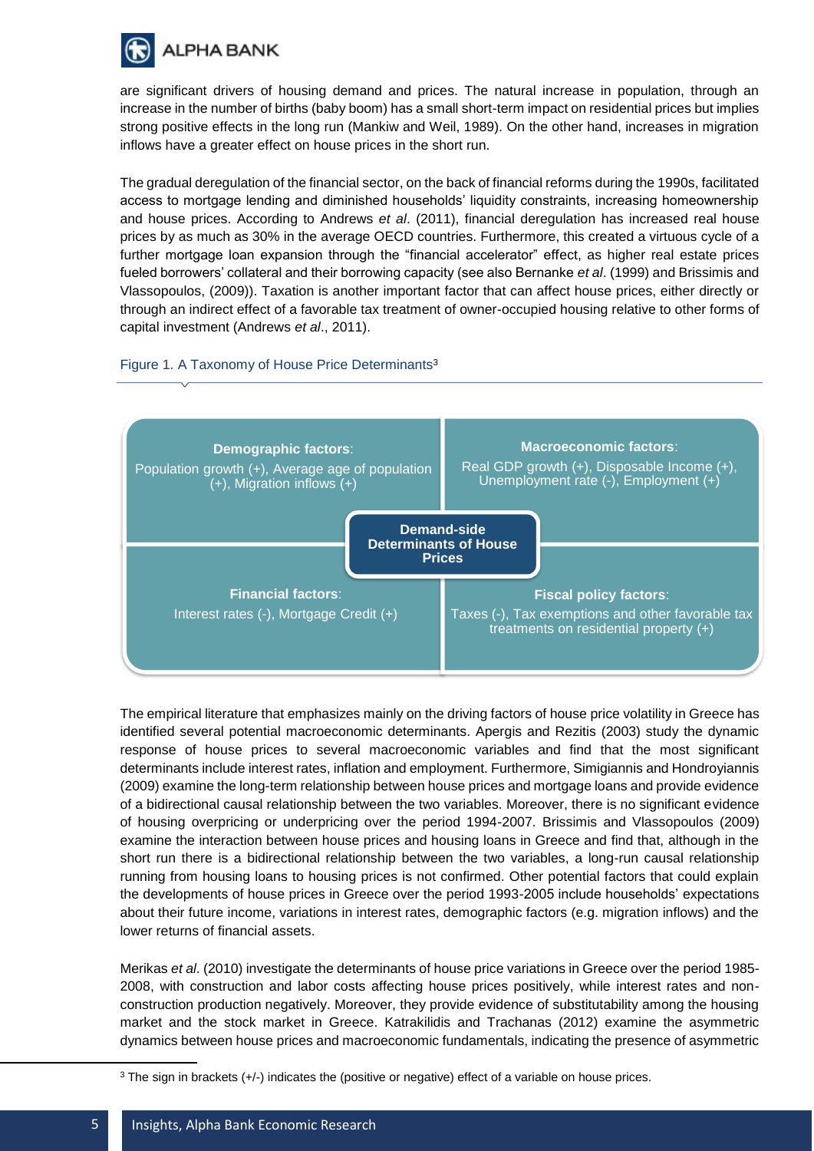

are significant drivers of housing demand and prices. The natural increase in population, through an increase in the number of births (baby boom) has a small short-term impact on residential prices but implies strong positive effects in the long run (Mankiw and Weil, 1989). On the other hand, increases in migration inflows have a greater effect on house prices in the short run.

The gradual deregulation of the financial sector, on the back of financial reforms during the 1990s, facilitated access to mortgage lending and diminished households' liquidity constraints, increasing homeownership and house prices. According to Andrews *et al*. (2011), financial deregulation has increased real house prices by as much as 30% in the average OECD countries. Furthermore, this created a virtuous cycle of a further mortgage loan expansion through the "financial accelerator" effect, as higher real estate prices fueled borrowers' collateral and their borrowing capacity (see also Bernanke *et al*. (1999) and Brissimis and Vlassopoulos, (2009)). Taxation is another important factor that can affect house prices, either directly or through an indirect effect of a favorable tax treatment of owner-occupied housing relative to other forms of capital investment (Andrews *et al*., 2011).





The empirical literature that emphasizes mainly on the driving factors of house price volatility in Greece has identified several potential macroeconomic determinants. Apergis and Rezitis (2003) study the dynamic response of house prices to several macroeconomic variables and find that the most significant determinants include interest rates, inflation and employment. Furthermore, Simigiannis and Hondroyiannis (2009) examine the long-term relationship between house prices and mortgage loans and provide evidence of a bidirectional causal relationship between the two variables. Moreover, there is no significant evidence of housing overpricing or underpricing over the period 1994-2007. Brissimis and Vlassopoulos (2009) examine the interaction between house prices and housing loans in Greece and find that, although in the short run there is a bidirectional relationship between the two variables, a long-run causal relationship running from housing loans to housing prices is not confirmed. Other potential factors that could explain the developments of house prices in Greece over the period 1993-2005 include households' expectations about their future income, variations in interest rates, demographic factors (e.g. migration inflows) and the lower returns of financial assets.

Merikas *et al*. (2010) investigate the determinants of house price variations in Greece over the period 1985- 2008, with construction and labor costs affecting house prices positively, while interest rates and nonconstruction production negatively. Moreover, they provide evidence of substitutability among the housing market and the stock market in Greece. Katrakilidis and Trachanas (2012) examine the asymmetric dynamics between house prices and macroeconomic fundamentals, indicating the presence of asymmetric

<sup>&</sup>lt;sup>3</sup> The sign in brackets (+/-) indicates the (positive or negative) effect of a variable on house prices.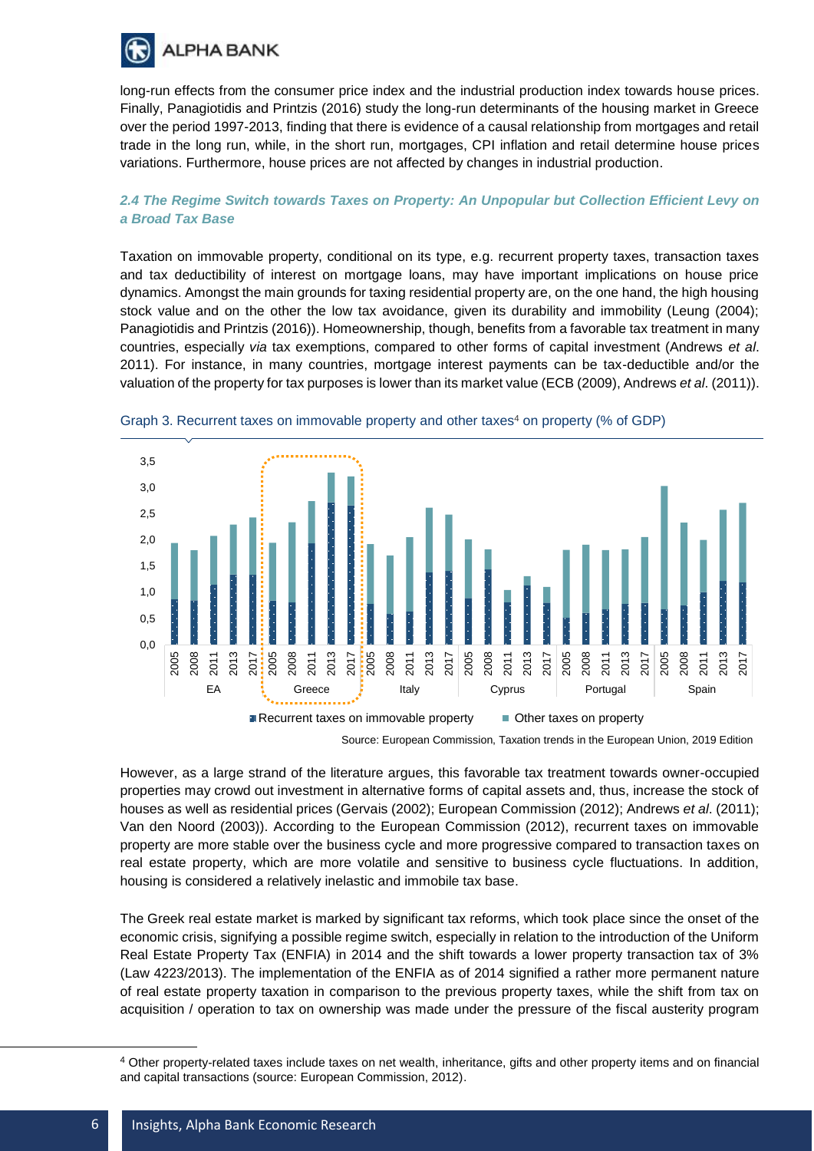

long-run effects from the consumer price index and the industrial production index towards house prices. Finally, Panagiotidis and Printzis (2016) study the long-run determinants of the housing market in Greece over the period 1997-2013, finding that there is evidence of a causal relationship from mortgages and retail trade in the long run, while, in the short run, mortgages, CPI inflation and retail determine house prices variations. Furthermore, house prices are not affected by changes in industrial production.

## *2.4 The Regime Switch towards Taxes on Property: An Unpopular but Collection Efficient Levy on a Broad Tax Base*

Taxation on immovable property, conditional on its type, e.g. recurrent property taxes, transaction taxes and tax deductibility of interest on mortgage loans, may have important implications on house price dynamics. Amongst the main grounds for taxing residential property are, on the one hand, the high housing stock value and on the other the low tax avoidance, given its durability and immobility (Leung (2004); Panagiotidis and Printzis (2016)). Homeownership, though, benefits from a favorable tax treatment in many countries, especially *via* tax exemptions, compared to other forms of capital investment (Andrews *et al*. 2011). For instance, in many countries, mortgage interest payments can be tax-deductible and/or the valuation of the property for tax purposes is lower than its market value (ECB (2009), Andrews *et al*. (2011)).





Source: European Commission, Taxation trends in the European Union, 2019 Edition

However, as a large strand of the literature argues, this favorable tax treatment towards owner-occupied properties may crowd out investment in alternative forms of capital assets and, thus, increase the stock of houses as well as residential prices (Gervais (2002); European Commission (2012); Andrews *et al*. (2011); Van den Noord (2003)). According to the European Commission (2012), recurrent taxes on immovable property are more stable over the business cycle and more progressive compared to transaction taxes on real estate property, which are more volatile and sensitive to business cycle fluctuations. In addition, housing is considered a relatively inelastic and immobile tax base.

The Greek real estate market is marked by significant tax reforms, which took place since the onset of the economic crisis, signifying a possible regime switch, especially in relation to the introduction of the Uniform Real Estate Property Tax (ENFIA) in 2014 and the shift towards a lower property transaction tax of 3% (Law 4223/2013). The implementation of the ENFIA as of 2014 signified a rather more permanent nature of real estate property taxation in comparison to the previous property taxes, while the shift from tax on acquisition / operation to tax on ownership was made under the pressure of the fiscal austerity program

<sup>4</sup> Other property-related taxes include taxes on net wealth, inheritance, gifts and other property items and on financial and capital transactions (source: European Commission, 2012).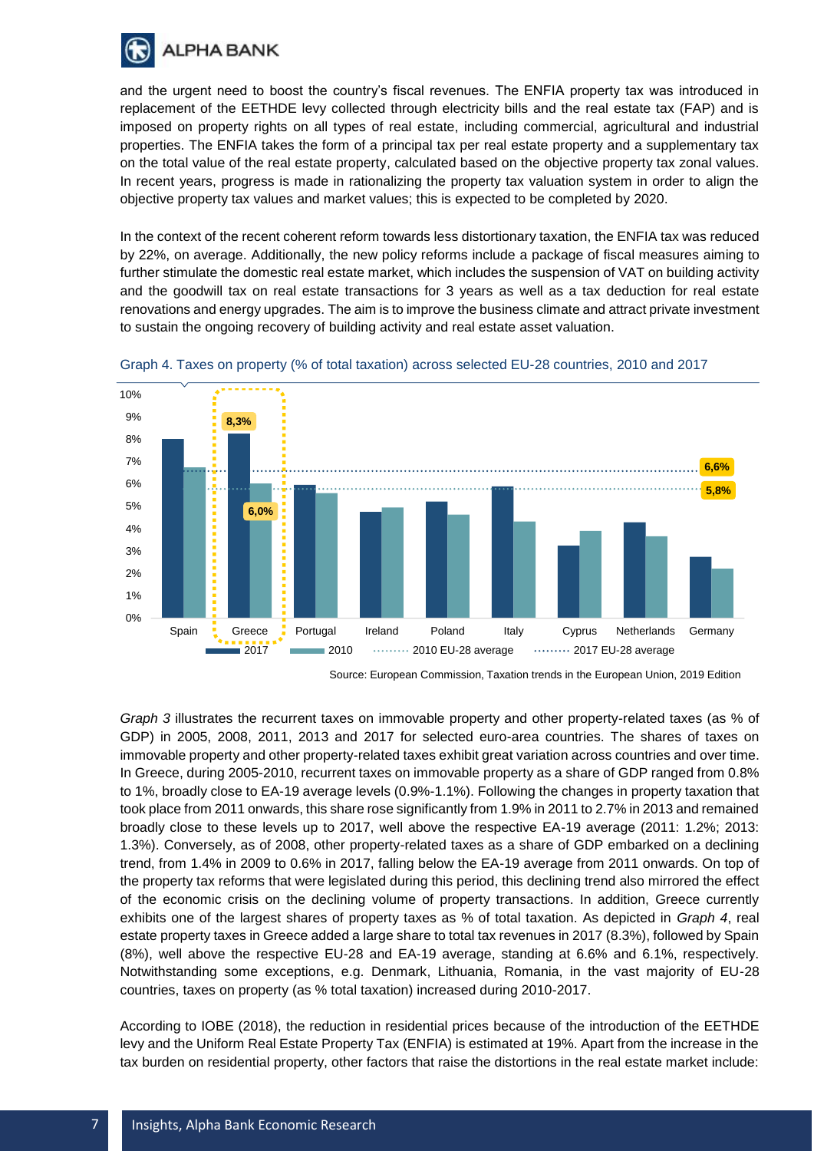

and the urgent need to boost the country's fiscal revenues. The ENFIA property tax was introduced in replacement of the EETHDE levy collected through electricity bills and the real estate tax (FAP) and is imposed on property rights on all types of real estate, including commercial, agricultural and industrial properties. The ENFIA takes the form of a principal tax per real estate property and a supplementary tax on the total value of the real estate property, calculated based on the objective property tax zonal values. In recent years, progress is made in rationalizing the property tax valuation system in order to align the objective property tax values and market values; this is expected to be completed by 2020.

In the context of the recent coherent reform towards less distortionary taxation, the ENFIA tax was reduced by 22%, on average. Additionally, the new policy reforms include a package of fiscal measures aiming to further stimulate the domestic real estate market, which includes the suspension of VAT on building activity and the goodwill tax on real estate transactions for 3 years as well as a tax deduction for real estate renovations and energy upgrades. The aim is to improve the business climate and attract private investment to sustain the ongoing recovery of building activity and real estate asset valuation.





*Graph 3* illustrates the recurrent taxes on immovable property and other property-related taxes (as % of GDP) in 2005, 2008, 2011, 2013 and 2017 for selected euro-area countries. The shares of taxes on immovable property and other property-related taxes exhibit great variation across countries and over time. In Greece, during 2005-2010, recurrent taxes on immovable property as a share of GDP ranged from 0.8% to 1%, broadly close to EA-19 average levels (0.9%-1.1%). Following the changes in property taxation that took place from 2011 onwards, this share rose significantly from 1.9% in 2011 to 2.7% in 2013 and remained broadly close to these levels up to 2017, well above the respective EA-19 average (2011: 1.2%; 2013: 1.3%). Conversely, as of 2008, other property-related taxes as a share of GDP embarked on a declining trend, from 1.4% in 2009 to 0.6% in 2017, falling below the EA-19 average from 2011 onwards. On top of the property tax reforms that were legislated during this period, this declining trend also mirrored the effect of the economic crisis on the declining volume of property transactions. In addition, Greece currently exhibits one of the largest shares of property taxes as % of total taxation. As depicted in *Graph 4*, real estate property taxes in Greece added a large share to total tax revenues in 2017 (8.3%), followed by Spain (8%), well above the respective EU-28 and EA-19 average, standing at 6.6% and 6.1%, respectively. Notwithstanding some exceptions, e.g. Denmark, Lithuania, Romania, in the vast majority of EU-28 countries, taxes on property (as % total taxation) increased during 2010-2017.

According to IOBE (2018), the reduction in residential prices because of the introduction of the EETHDE levy and the Uniform Real Estate Property Tax (ENFIA) is estimated at 19%. Apart from the increase in the tax burden on residential property, other factors that raise the distortions in the real estate market include:

Source: European Commission, Taxation trends in the European Union, 2019 Edition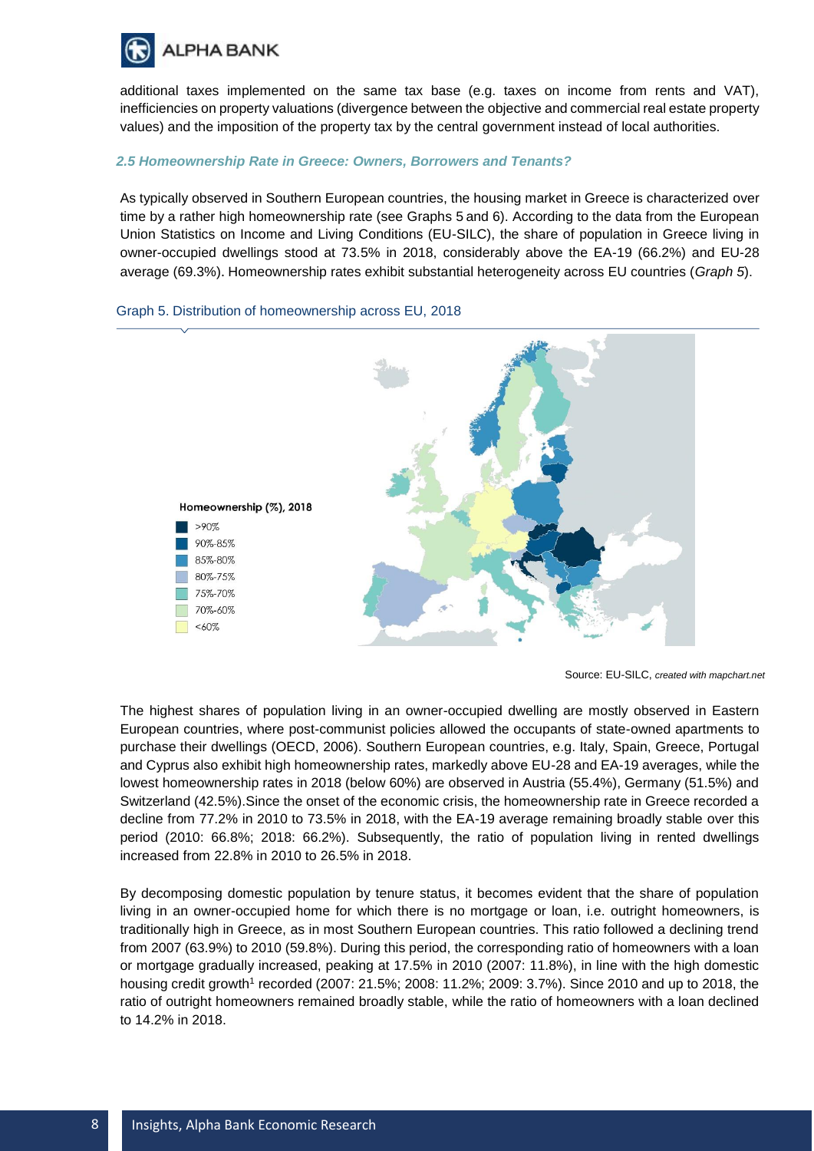

additional taxes implemented on the same tax base (e.g. taxes on income from rents and VAT), inefficiencies on property valuations (divergence between the objective and commercial real estate property values) and the imposition of the property tax by the central government instead of local authorities.

#### *2.5 Homeownership Rate in Greece: Owners, Borrowers and Tenants?*

As typically observed in Southern European countries, the housing market in Greece is characterized over time by a rather high homeownership rate (see Graphs 5 and 6). According to the data from the European Union Statistics on Income and Living Conditions (EU-SILC), the share of population in Greece living in owner-occupied dwellings stood at 73.5% in 2018, considerably above the EA-19 (66.2%) and EU-28 average (69.3%). Homeownership rates exhibit substantial heterogeneity across EU countries (*Graph 5*).



#### Graph 5. Distribution of homeownership across EU, 2018

The highest shares of population living in an owner-occupied dwelling are mostly observed in Eastern European countries, where post-communist policies allowed the occupants of state-owned apartments to purchase their dwellings (OECD, 2006). Southern European countries, e.g. Italy, Spain, Greece, Portugal and Cyprus also exhibit high homeownership rates, markedly above EU-28 and EA-19 averages, while the lowest homeownership rates in 2018 (below 60%) are observed in Austria (55.4%), Germany (51.5%) and Switzerland (42.5%).Since the onset of the economic crisis, the homeownership rate in Greece recorded a decline from 77.2% in 2010 to 73.5% in 2018, with the EA-19 average remaining broadly stable over this period (2010: 66.8%; 2018: 66.2%). Subsequently, the ratio of population living in rented dwellings increased from 22.8% in 2010 to 26.5% in 2018.

By decomposing domestic population by tenure status, it becomes evident that the share of population living in an owner-occupied home for which there is no mortgage or loan, i.e. outright homeowners, is traditionally high in Greece, as in most Southern European countries. This ratio followed a declining trend from 2007 (63.9%) to 2010 (59.8%). During this period, the corresponding ratio of homeowners with a loan or mortgage gradually increased, peaking at 17.5% in 2010 (2007: 11.8%), in line with the high domestic housing credit growth<sup>1</sup> recorded (2007: 21.5%; 2008: 11.2%; 2009: 3.7%). Since 2010 and up to 2018, the ratio of outright homeowners remained broadly stable, while the ratio of homeowners with a loan declined to 14.2% in 2018.

Source: EU-SILC, *created with mapchart.net*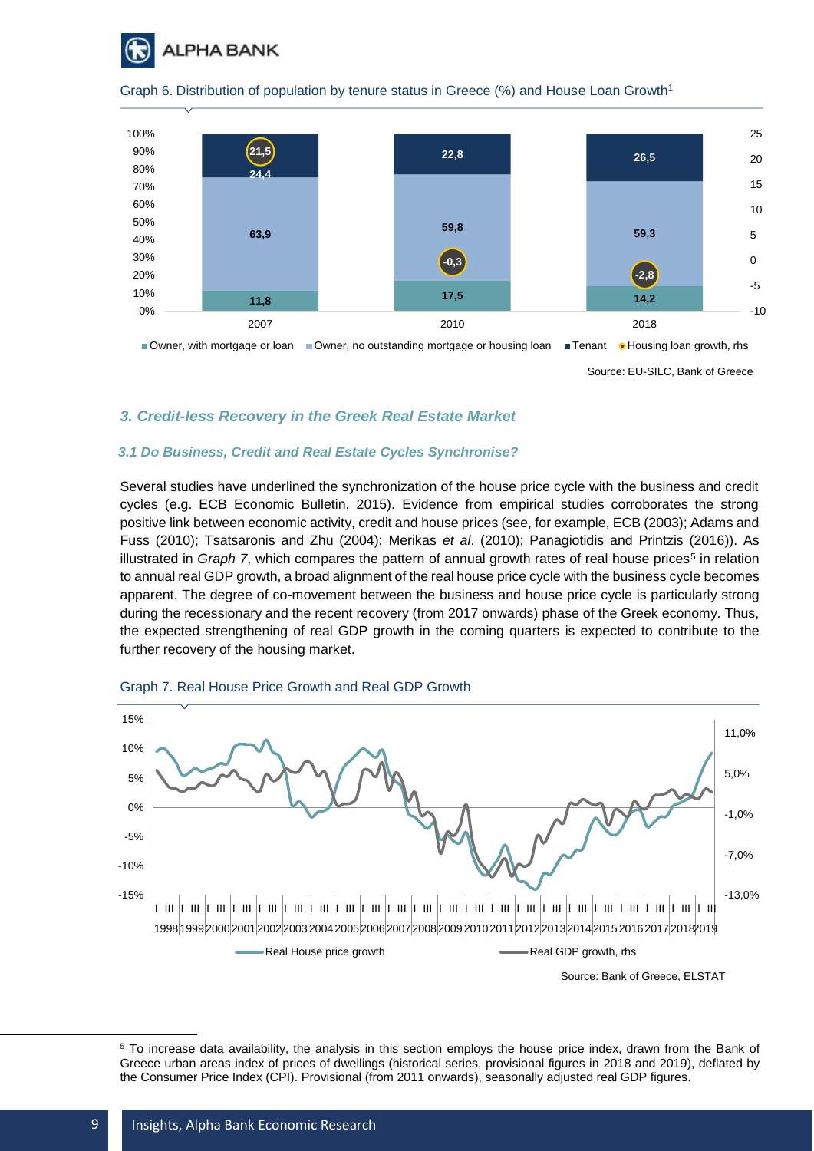

Graph 6. Distribution of population by tenure status in Greece (%) and House Loan Growth<sup>1</sup>



Source: EU-SILC, Bank of Greece

## *3. Credit-less Recovery in the Greek Real Estate Market*

#### *3.1 Do Business, Credit and Real Estate Cycles Synchronise?*

Several studies have underlined the synchronization of the house price cycle with the business and credit cycles (e.g. ECB Economic Bulletin, 2015). Evidence from empirical studies corroborates the strong positive link between economic activity, credit and house prices (see, for example, ECB (2003); Adams and Fuss (2010); Tsatsaronis and Zhu (2004); Merikas *et al*. (2010); Panagiotidis and Printzis (2016)). As illustrated in *Graph 7*, which compares the pattern of annual growth rates of real house prices<sup>5</sup> in relation to annual real GDP growth, a broad alignment of the real house price cycle with the business cycle becomes apparent. The degree of co-movement between the business and house price cycle is particularly strong during the recessionary and the recent recovery (from 2017 onwards) phase of the Greek economy. Thus, the expected strengthening of real GDP growth in the coming quarters is expected to contribute to the further recovery of the housing market.





l

<sup>5</sup> To increase data availability, the analysis in this section employs the house price index, drawn from the Bank of Greece urban areas index of prices of dwellings (historical series, provisional figures in 2018 and 2019), deflated by the Consumer Price Index (CPI). Provisional (from 2011 onwards), seasonally adjusted real GDP figures.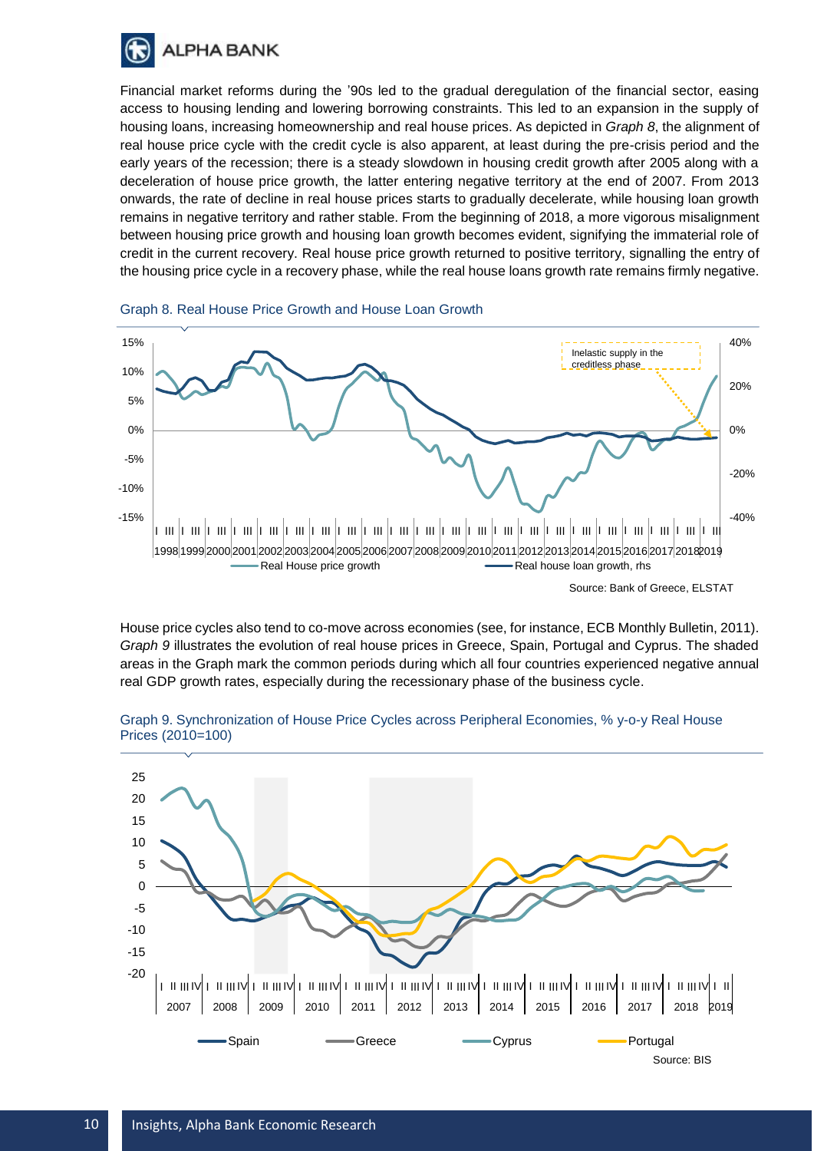

Financial market reforms during the '90s led to the gradual deregulation of the financial sector, easing access to housing lending and lowering borrowing constraints. This led to an expansion in the supply of housing loans, increasing homeownership and real house prices. As depicted in *Graph 8*, the alignment of real house price cycle with the credit cycle is also apparent, at least during the pre-crisis period and the early years of the recession; there is a steady slowdown in housing credit growth after 2005 along with a deceleration of house price growth, the latter entering negative territory at the end of 2007. From 2013 onwards, the rate of decline in real house prices starts to gradually decelerate, while housing loan growth remains in negative territory and rather stable. From the beginning of 2018, a more vigorous misalignment between housing price growth and housing loan growth becomes evident, signifying the immaterial role of credit in the current recovery. Real house price growth returned to positive territory, signalling the entry of the housing price cycle in a recovery phase, while the real house loans growth rate remains firmly negative.





House price cycles also tend to co-move across economies (see, for instance, ECB Monthly Bulletin, 2011). *Graph 9* illustrates the evolution of real house prices in Greece, Spain, Portugal and Cyprus. The shaded areas in the Graph mark the common periods during which all four countries experienced negative annual real GDP growth rates, especially during the recessionary phase of the business cycle.



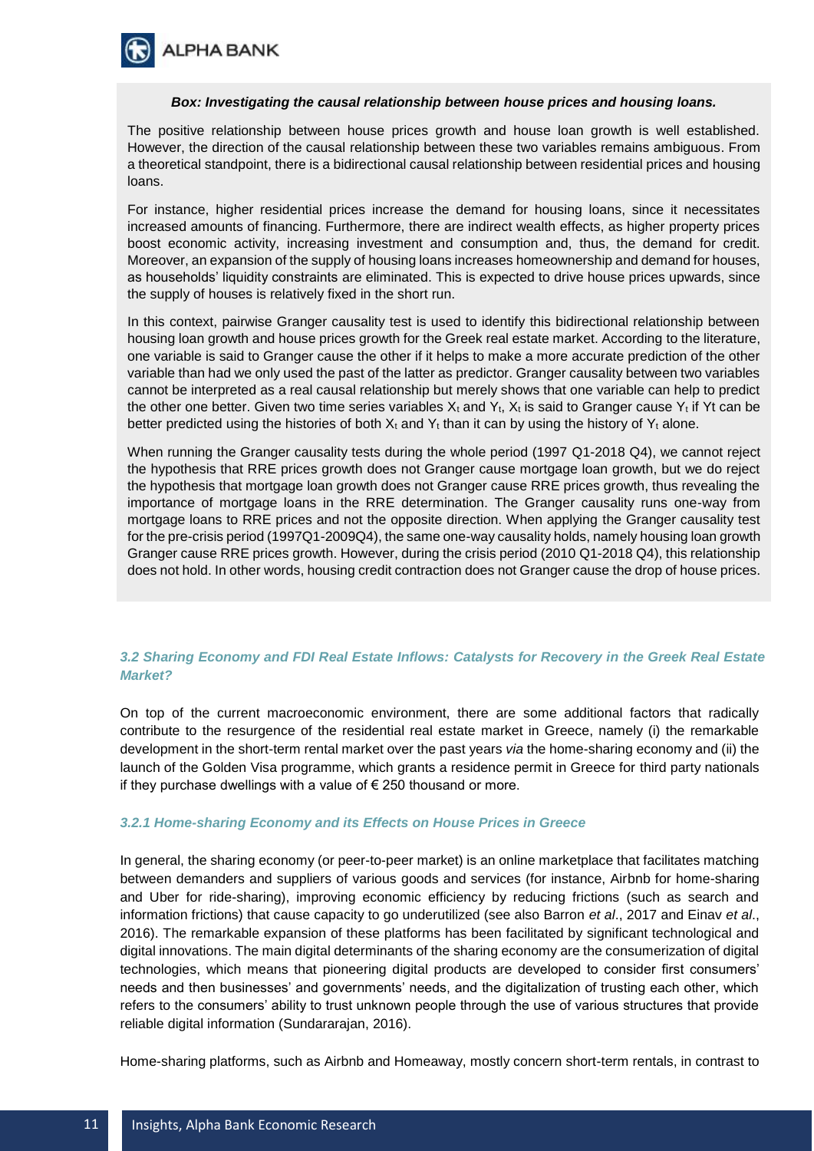

#### *Box: Investigating the causal relationship between house prices and housing loans.*

The positive relationship between house prices growth and house loan growth is well established. However, the direction of the causal relationship between these two variables remains ambiguous. From a theoretical standpoint, there is a bidirectional causal relationship between residential prices and housing loans.

For instance, higher residential prices increase the demand for housing loans, since it necessitates increased amounts of financing. Furthermore, there are indirect wealth effects, as higher property prices boost economic activity, increasing investment and consumption and, thus, the demand for credit. Moreover, an expansion of the supply of housing loans increases homeownership and demand for houses, as households' liquidity constraints are eliminated. This is expected to drive house prices upwards, since the supply of houses is relatively fixed in the short run.

In this context, pairwise Granger causality test is used to identify this bidirectional relationship between housing loan growth and house prices growth for the Greek real estate market. According to the literature, one variable is said to Granger cause the other if it helps to make a more accurate prediction of the other variable than had we only used the past of the latter as predictor. Granger causality between two variables cannot be interpreted as a real causal relationship but merely shows that one variable can help to predict the other one better. Given two time series variables  $X_t$  and  $Y_t$ ,  $X_t$  is said to Granger cause  $Y_t$  if Yt can be better predicted using the histories of both  $X_t$  and  $Y_t$  than it can by using the history of  $Y_t$  alone.

When running the Granger causality tests during the whole period (1997 Q1-2018 Q4), we cannot reject the hypothesis that RRE prices growth does not Granger cause mortgage loan growth, but we do reject the hypothesis that mortgage loan growth does not Granger cause RRE prices growth, thus revealing the importance of mortgage loans in the RRE determination. The Granger causality runs one-way from mortgage loans to RRE prices and not the opposite direction. When applying the Granger causality test for the pre-crisis period (1997Q1-2009Q4), the same one-way causality holds, namely housing loan growth Granger cause RRE prices growth. However, during the crisis period (2010 Q1-2018 Q4), this relationship does not hold. In other words, housing credit contraction does not Granger cause the drop of house prices.

#### *3.2 Sharing Economy and FDI Real Estate Inflows: Catalysts for Recovery in the Greek Real Estate Market?*

On top of the current macroeconomic environment, there are some additional factors that radically contribute to the resurgence of the residential real estate market in Greece, namely (i) the remarkable development in the short-term rental market over the past years *via* the home-sharing economy and (ii) the launch of the Golden Visa programme, which grants a residence permit in Greece for third party nationals if they purchase dwellings with a value of  $\epsilon$  250 thousand or more.

#### *3.2.1 Home-sharing Economy and its Effects on House Prices in Greece*

In general, the sharing economy (or peer-to-peer market) is an online marketplace that facilitates matching between demanders and suppliers of various goods and services (for instance, Airbnb for home-sharing and Uber for ride-sharing), improving economic efficiency by reducing frictions (such as search and information frictions) that cause capacity to go underutilized (see also Barron *et al*., 2017 and Einav *et al*., 2016). The remarkable expansion of these platforms has been facilitated by significant technological and digital innovations. The main digital determinants of the sharing economy are the consumerization of digital technologies, which means that pioneering digital products are developed to consider first consumers' needs and then businesses' and governments' needs, and the digitalization of trusting each other, which refers to the consumers' ability to trust unknown people through the use of various structures that provide reliable digital information (Sundararajan, 2016).

Home-sharing platforms, such as Airbnb and Homeaway, mostly concern short-term rentals, in contrast to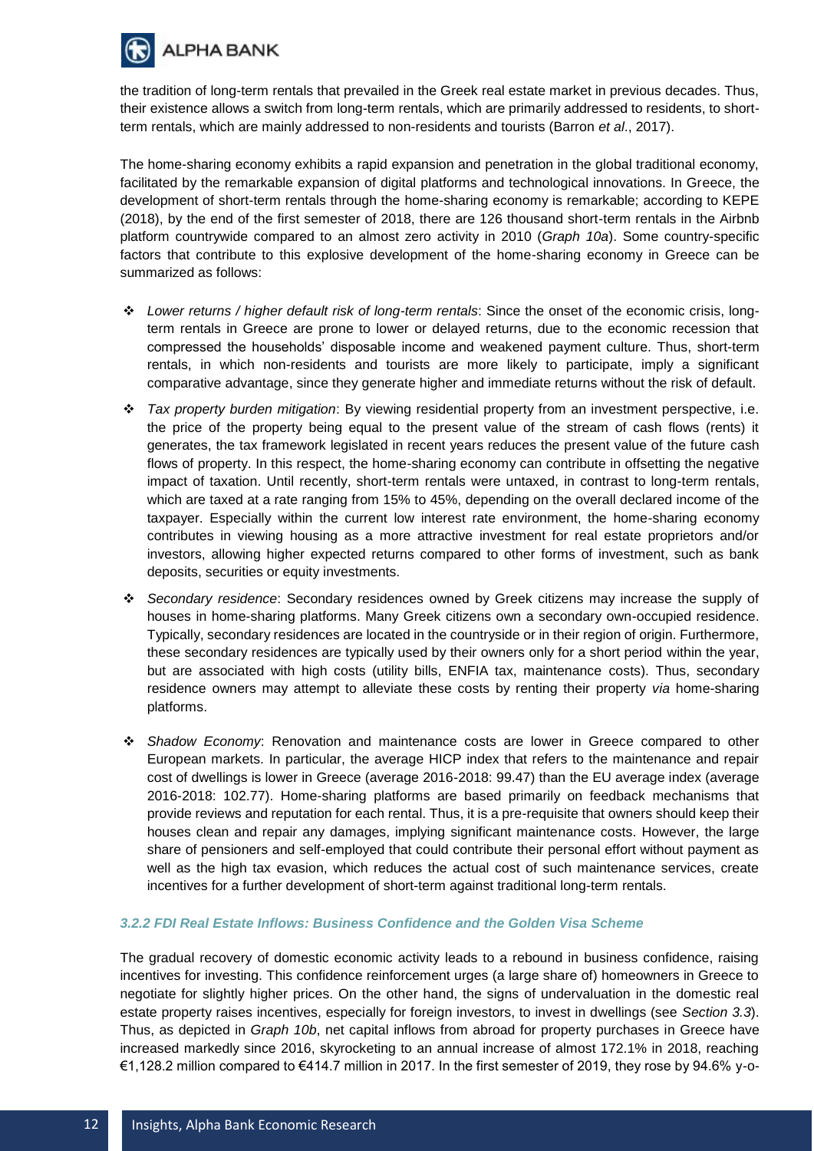

the tradition of long-term rentals that prevailed in the Greek real estate market in previous decades. Thus, their existence allows a switch from long-term rentals, which are primarily addressed to residents, to shortterm rentals, which are mainly addressed to non-residents and tourists (Barron *et al*., 2017).

The home-sharing economy exhibits a rapid expansion and penetration in the global traditional economy, facilitated by the remarkable expansion of digital platforms and technological innovations. In Greece, the development of short-term rentals through the home-sharing economy is remarkable; according to KEPE (2018), by the end of the first semester of 2018, there are 126 thousand short-term rentals in the Airbnb platform countrywide compared to an almost zero activity in 2010 (*Graph 10a*). Some country-specific factors that contribute to this explosive development of the home-sharing economy in Greece can be summarized as follows:

- ❖ *Lower returns / higher default risk of long-term rentals*: Since the onset of the economic crisis, longterm rentals in Greece are prone to lower or delayed returns, due to the economic recession that compressed the households' disposable income and weakened payment culture. Thus, short-term rentals, in which non-residents and tourists are more likely to participate, imply a significant comparative advantage, since they generate higher and immediate returns without the risk of default.
- ❖ *Tax property burden mitigation*: By viewing residential property from an investment perspective, i.e. the price of the property being equal to the present value of the stream of cash flows (rents) it generates, the tax framework legislated in recent years reduces the present value of the future cash flows of property. In this respect, the home-sharing economy can contribute in offsetting the negative impact of taxation. Until recently, short-term rentals were untaxed, in contrast to long-term rentals, which are taxed at a rate ranging from 15% to 45%, depending on the overall declared income of the taxpayer. Especially within the current low interest rate environment, the home-sharing economy contributes in viewing housing as a more attractive investment for real estate proprietors and/or investors, allowing higher expected returns compared to other forms of investment, such as bank deposits, securities or equity investments.
- ❖ *Secondary residence*: Secondary residences owned by Greek citizens may increase the supply of houses in home-sharing platforms. Many Greek citizens own a secondary own-occupied residence. Typically, secondary residences are located in the countryside or in their region of origin. Furthermore, these secondary residences are typically used by their owners only for a short period within the year, but are associated with high costs (utility bills, ENFIA tax, maintenance costs). Thus, secondary residence owners may attempt to alleviate these costs by renting their property *via* home-sharing platforms.
- ❖ *Shadow Economy*: Renovation and maintenance costs are lower in Greece compared to other European markets. In particular, the average HICP index that refers to the maintenance and repair cost of dwellings is lower in Greece (average 2016-2018: 99.47) than the EU average index (average 2016-2018: 102.77). Home-sharing platforms are based primarily on feedback mechanisms that provide reviews and reputation for each rental. Thus, it is a pre-requisite that owners should keep their houses clean and repair any damages, implying significant maintenance costs. However, the large share of pensioners and self-employed that could contribute their personal effort without payment as well as the high tax evasion, which reduces the actual cost of such maintenance services, create incentives for a further development of short-term against traditional long-term rentals.

#### *3.2.2 FDI Real Estate Inflows: Business Confidence and the Golden Visa Scheme*

The gradual recovery of domestic economic activity leads to a rebound in business confidence, raising incentives for investing. This confidence reinforcement urges (a large share of) homeowners in Greece to negotiate for slightly higher prices. On the other hand, the signs of undervaluation in the domestic real estate property raises incentives, especially for foreign investors, to invest in dwellings (see *Section 3.3*). Thus, as depicted in *Graph 10b*, net capital inflows from abroad for property purchases in Greece have increased markedly since 2016, skyrocketing to an annual increase of almost 172.1% in 2018, reaching €1,128.2 million compared to €414.7 million in 2017. In the first semester of 2019, they rose by 94.6% y-o-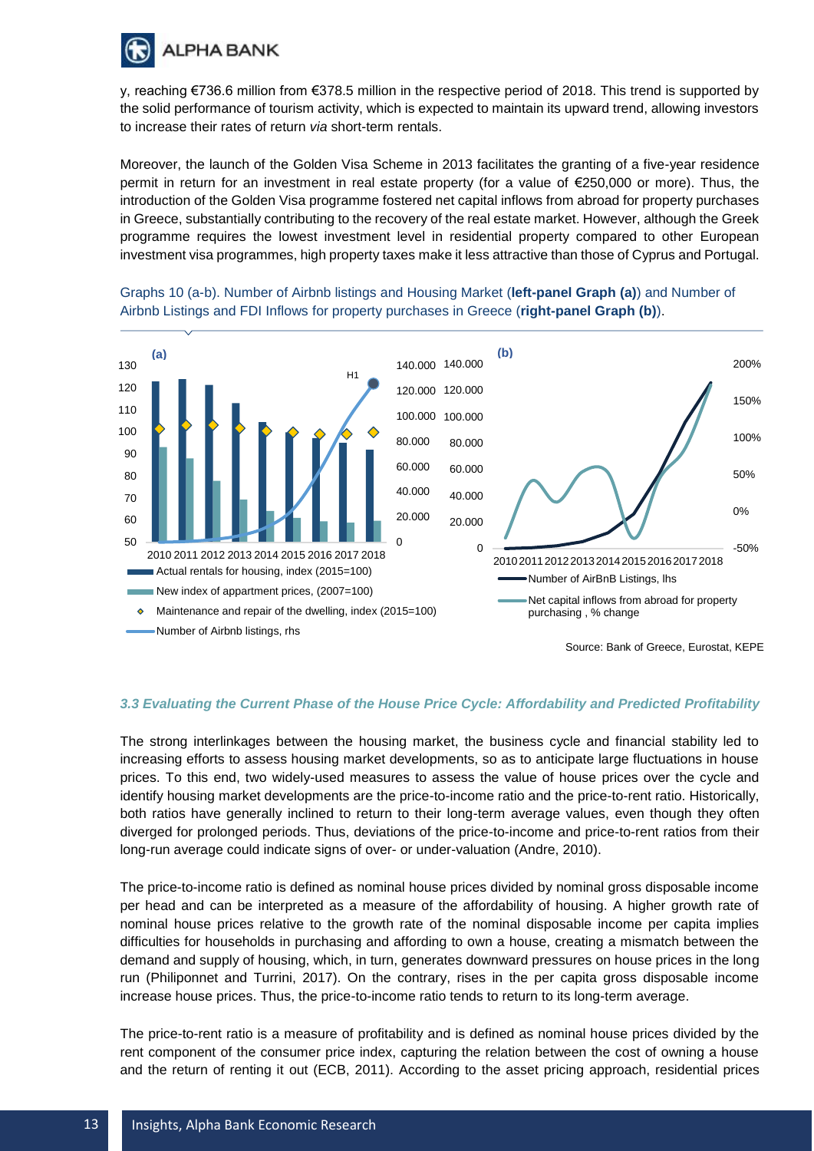

y, reaching €736.6 million from €378.5 million in the respective period of 2018. This trend is supported by the solid performance of tourism activity, which is expected to maintain its upward trend, allowing investors to increase their rates of return *via* short-term rentals.

Moreover, the launch of the Golden Visa Scheme in 2013 facilitates the granting of a five-year residence permit in return for an investment in real estate property (for a value of €250,000 or more). Thus, the introduction of the Golden Visa programme fostered net capital inflows from abroad for property purchases in Greece, substantially contributing to the recovery of the real estate market. However, although the Greek programme requires the lowest investment level in residential property compared to other European investment visa programmes, high property taxes make it less attractive than those of Cyprus and Portugal.



Graphs 10 (a-b). Number of Airbnb listings and Housing Market (**left-panel Graph (a)**) and Number of Airbnb Listings and FDI Inflows for property purchases in Greece (**right-panel Graph (b)**).

#### *3.3 Evaluating the Current Phase of the House Price Cycle: Affordability and Predicted Profitability*

The strong interlinkages between the housing market, the business cycle and financial stability led to increasing efforts to assess housing market developments, so as to anticipate large fluctuations in house prices. To this end, two widely-used measures to assess the value of house prices over the cycle and identify housing market developments are the price-to-income ratio and the price-to-rent ratio. Historically, both ratios have generally inclined to return to their long-term average values, even though they often diverged for prolonged periods. Thus, deviations of the price-to-income and price-to-rent ratios from their long-run average could indicate signs of over- or under-valuation (Andre, 2010).

The price-to-income ratio is defined as nominal house prices divided by nominal gross disposable income per head and can be interpreted as a measure of the affordability of housing. A higher growth rate of nominal house prices relative to the growth rate of the nominal disposable income per capita implies difficulties for households in purchasing and affording to own a house, creating a mismatch between the demand and supply of housing, which, in turn, generates downward pressures on house prices in the long run (Philiponnet and Turrini, 2017). On the contrary, rises in the per capita gross disposable income increase house prices. Thus, the price-to-income ratio tends to return to its long-term average.

The price-to-rent ratio is a measure of profitability and is defined as nominal house prices divided by the rent component of the consumer price index, capturing the relation between the cost of owning a house and the return of renting it out (ECB, 2011). According to the asset pricing approach, residential prices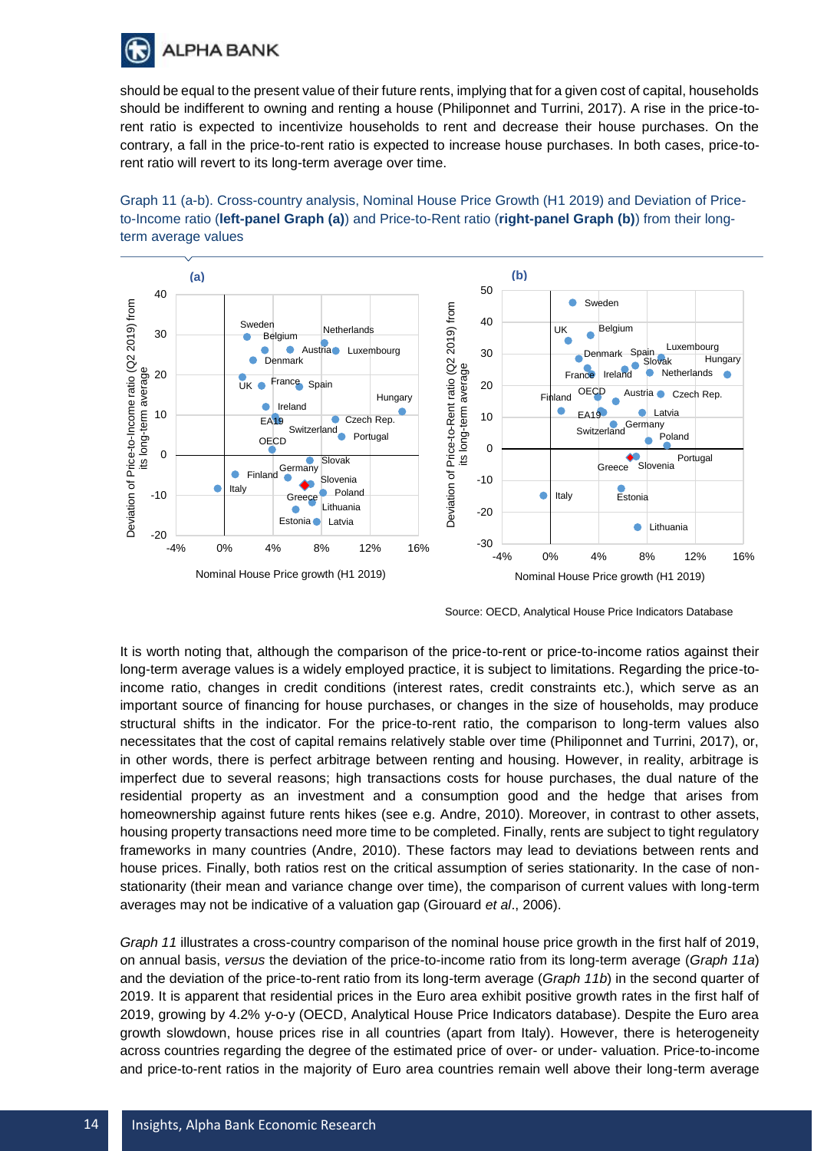

should be equal to the present value of their future rents, implying that for a given cost of capital, households should be indifferent to owning and renting a house (Philiponnet and Turrini, 2017). A rise in the price-torent ratio is expected to incentivize households to rent and decrease their house purchases. On the contrary, a fall in the price-to-rent ratio is expected to increase house purchases. In both cases, price-torent ratio will revert to its long-term average over time.





Source: OECD, Analytical House Price Indicators Database

It is worth noting that, although the comparison of the price-to-rent or price-to-income ratios against their long-term average values is a widely employed practice, it is subject to limitations. Regarding the price-toincome ratio, changes in credit conditions (interest rates, credit constraints etc.), which serve as an important source of financing for house purchases, or changes in the size of households, may produce structural shifts in the indicator. For the price-to-rent ratio, the comparison to long-term values also necessitates that the cost of capital remains relatively stable over time (Philiponnet and Turrini, 2017), or, in other words, there is perfect arbitrage between renting and housing. However, in reality, arbitrage is imperfect due to several reasons; high transactions costs for house purchases, the dual nature of the residential property as an investment and a consumption good and the hedge that arises from homeownership against future rents hikes (see e.g. Andre, 2010). Moreover, in contrast to other assets, housing property transactions need more time to be completed. Finally, rents are subject to tight regulatory frameworks in many countries (Andre, 2010). These factors may lead to deviations between rents and house prices. Finally, both ratios rest on the critical assumption of series stationarity. In the case of nonstationarity (their mean and variance change over time), the comparison of current values with long-term averages may not be indicative of a valuation gap (Girouard *et al*., 2006).

*Graph 11* illustrates a cross-country comparison of the nominal house price growth in the first half of 2019, on annual basis, *versus* the deviation of the price-to-income ratio from its long-term average (*Graph 11a*) and the deviation of the price-to-rent ratio from its long-term average (*Graph 11b*) in the second quarter of 2019. It is apparent that residential prices in the Euro area exhibit positive growth rates in the first half of 2019, growing by 4.2% y-o-y (OECD, Analytical House Price Indicators database). Despite the Euro area growth slowdown, house prices rise in all countries (apart from Italy). However, there is heterogeneity across countries regarding the degree of the estimated price of over- or under- valuation. Price-to-income and price-to-rent ratios in the majority of Euro area countries remain well above their long-term average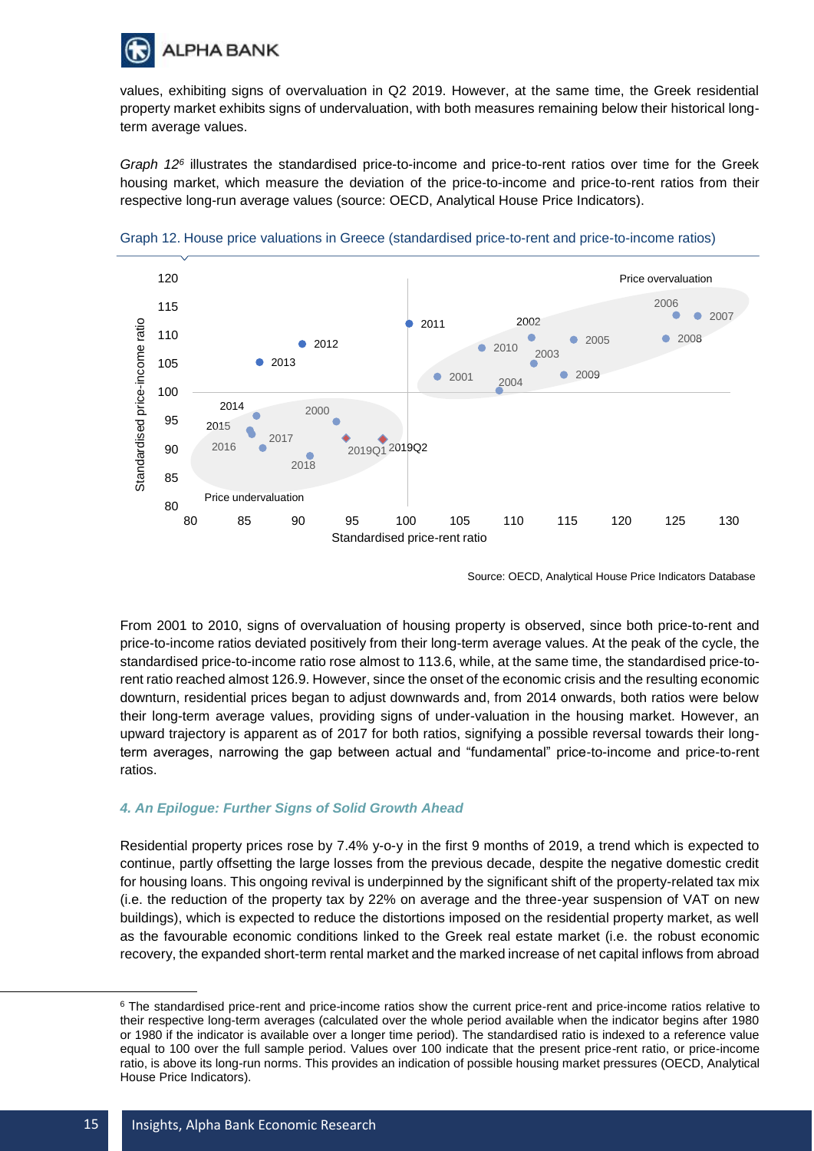

values, exhibiting signs of overvaluation in Q2 2019. However, at the same time, the Greek residential property market exhibits signs of undervaluation, with both measures remaining below their historical longterm average values.

*Graph 12<sup>6</sup>* illustrates the standardised price-to-income and price-to-rent ratios over time for the Greek housing market, which measure the deviation of the price-to-income and price-to-rent ratios from their respective long-run average values (source: OECD, Analytical House Price Indicators).



Graph 12. House price valuations in Greece (standardised price-to-rent and price-to-income ratios)

Source: OECD, Analytical House Price Indicators Database

From 2001 to 2010, signs of overvaluation of housing property is observed, since both price-to-rent and price-to-income ratios deviated positively from their long-term average values. At the peak of the cycle, the standardised price-to-income ratio rose almost to 113.6, while, at the same time, the standardised price-torent ratio reached almost 126.9. However, since the onset of the economic crisis and the resulting economic downturn, residential prices began to adjust downwards and, from 2014 onwards, both ratios were below their long-term average values, providing signs of under-valuation in the housing market. However, an upward trajectory is apparent as of 2017 for both ratios, signifying a possible reversal towards their longterm averages, narrowing the gap between actual and "fundamental" price-to-income and price-to-rent ratios.

## *4. An Epilogue: Further Signs of Solid Growth Ahead*

Residential property prices rose by 7.4% y-o-y in the first 9 months of 2019, a trend which is expected to continue, partly offsetting the large losses from the previous decade, despite the negative domestic credit for housing loans. This ongoing revival is underpinned by the significant shift of the property-related tax mix (i.e. the reduction of the property tax by 22% on average and the three-year suspension of VAT on new buildings), which is expected to reduce the distortions imposed on the residential property market, as well as the favourable economic conditions linked to the Greek real estate market (i.e. the robust economic recovery, the expanded short-term rental market and the marked increase of net capital inflows from abroad

<sup>&</sup>lt;sup>6</sup> The standardised price-rent and price-income ratios show the current price-rent and price-income ratios relative to their respective long-term averages (calculated over the whole period available when the indicator begins after 1980 or 1980 if the indicator is available over a longer time period). The standardised ratio is indexed to a reference value equal to 100 over the full sample period. Values over 100 indicate that the present price-rent ratio, or price-income ratio, is above its long-run norms. This provides an indication of possible housing market pressures (OECD, Analytical House Price Indicators).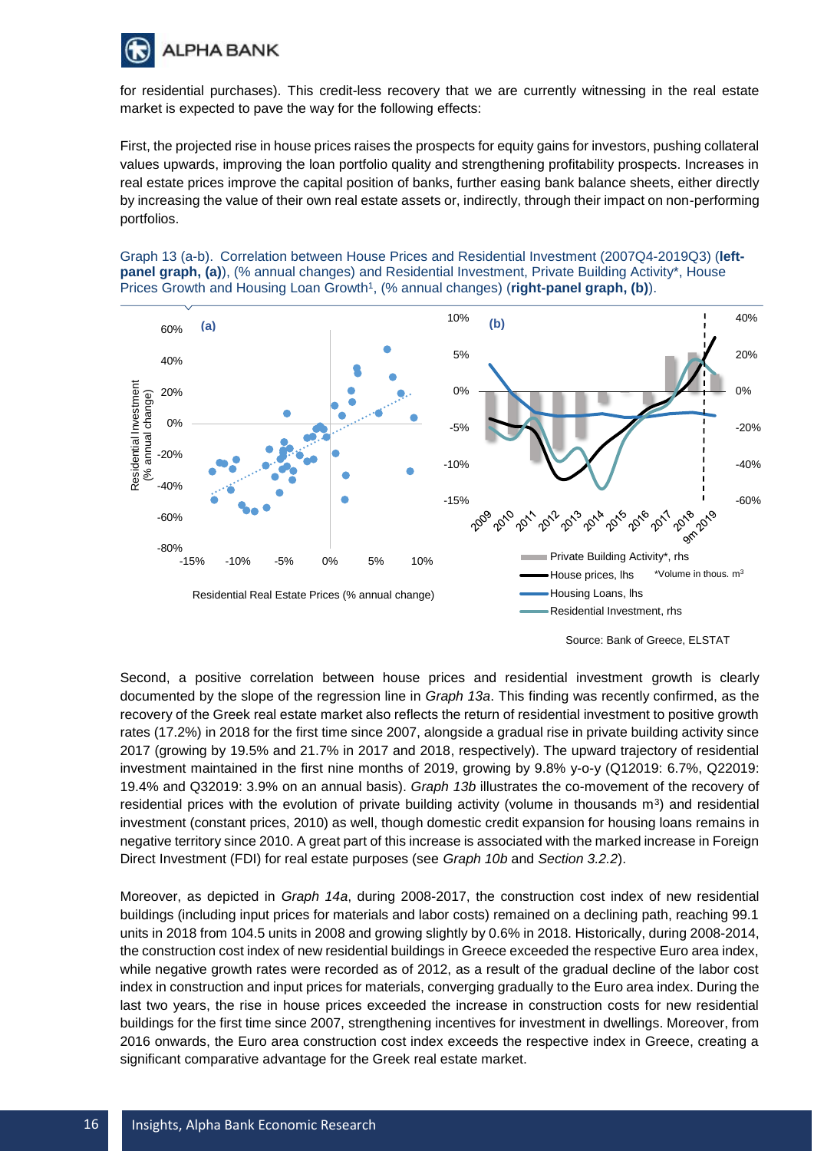

for residential purchases). This credit-less recovery that we are currently witnessing in the real estate market is expected to pave the way for the following effects:

First, the projected rise in house prices raises the prospects for equity gains for investors, pushing collateral values upwards, improving the loan portfolio quality and strengthening profitability prospects. Increases in real estate prices improve the capital position of banks, further easing bank balance sheets, either directly by increasing the value of their own real estate assets or, indirectly, through their impact on non-performing portfolios.

#### Graph 13 (a-b). Correlation between House Prices and Residential Investment (2007Q4-2019Q3) (**leftpanel graph, (a)**), (% annual changes) and Residential Investment, Private Building Activity\*, House Prices Growth and Housing Loan Growth<sup>1</sup>, (% annual changes) (right-panel graph, (b)).



Second, a positive correlation between house prices and residential investment growth is clearly documented by the slope of the regression line in *Graph 13a*. This finding was recently confirmed, as the recovery of the Greek real estate market also reflects the return of residential investment to positive growth rates (17.2%) in 2018 for the first time since 2007, alongside a gradual rise in private building activity since 2017 (growing by 19.5% and 21.7% in 2017 and 2018, respectively). The upward trajectory of residential investment maintained in the first nine months of 2019, growing by 9.8% y-o-y (Q12019: 6.7%, Q22019: 19.4% and Q32019: 3.9% on an annual basis). *Graph 13b* illustrates the co-movement of the recovery of residential prices with the evolution of private building activity (volume in thousands  $m<sup>3</sup>$ ) and residential investment (constant prices, 2010) as well, though domestic credit expansion for housing loans remains in negative territory since 2010. A great part of this increase is associated with the marked increase in Foreign Direct Investment (FDI) for real estate purposes (see *Graph 10b* and *Section 3.2.2*).

Moreover, as depicted in *Graph 14a*, during 2008-2017, the construction cost index of new residential buildings (including input prices for materials and labor costs) remained on a declining path, reaching 99.1 units in 2018 from 104.5 units in 2008 and growing slightly by 0.6% in 2018. Historically, during 2008-2014, the construction cost index of new residential buildings in Greece exceeded the respective Euro area index, while negative growth rates were recorded as of 2012, as a result of the gradual decline of the labor cost index in construction and input prices for materials, converging gradually to the Euro area index. During the last two years, the rise in house prices exceeded the increase in construction costs for new residential buildings for the first time since 2007, strengthening incentives for investment in dwellings. Moreover, from 2016 onwards, the Euro area construction cost index exceeds the respective index in Greece, creating a significant comparative advantage for the Greek real estate market.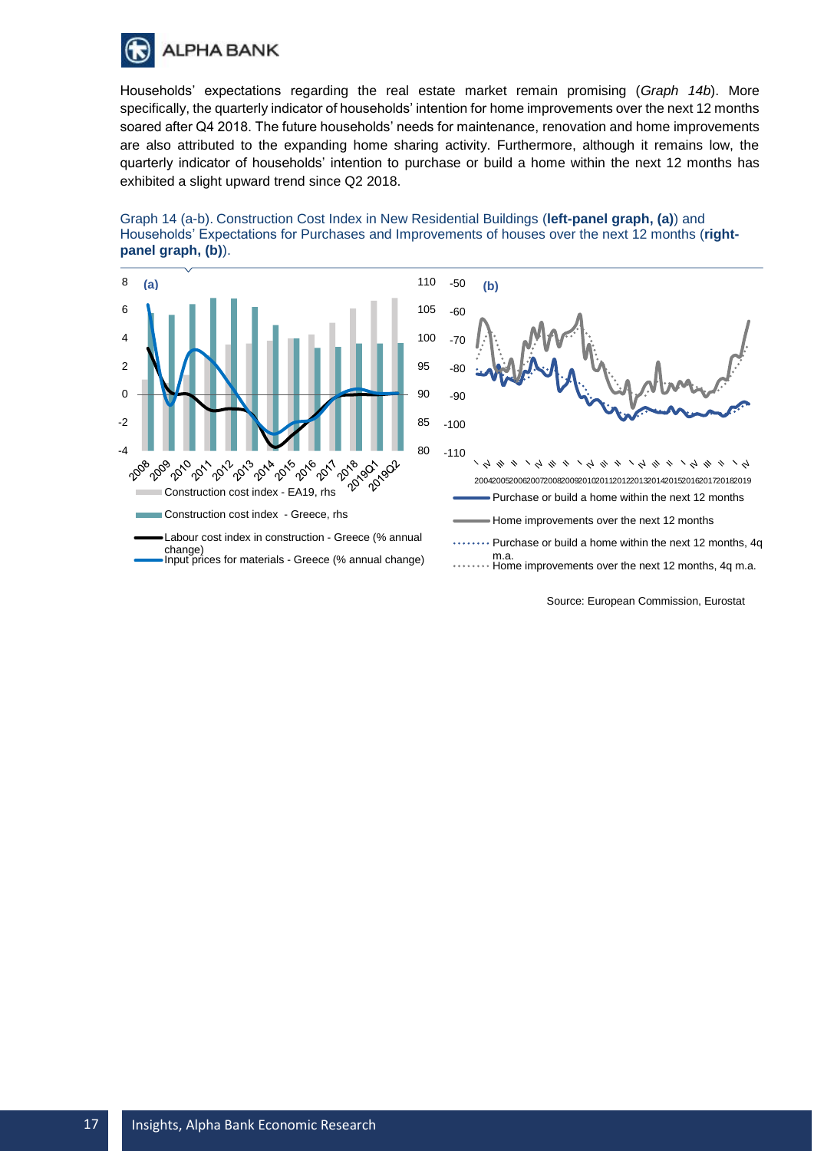

Households' expectations regarding the real estate market remain promising (*Graph 14b*). More specifically, the quarterly indicator of households' intention for home improvements over the next 12 months soared after Q4 2018. The future households' needs for maintenance, renovation and home improvements are also attributed to the expanding home sharing activity. Furthermore, although it remains low, the quarterly indicator of households' intention to purchase or build a home within the next 12 months has exhibited a slight upward trend since Q2 2018.





Source: European Commission, Eurostat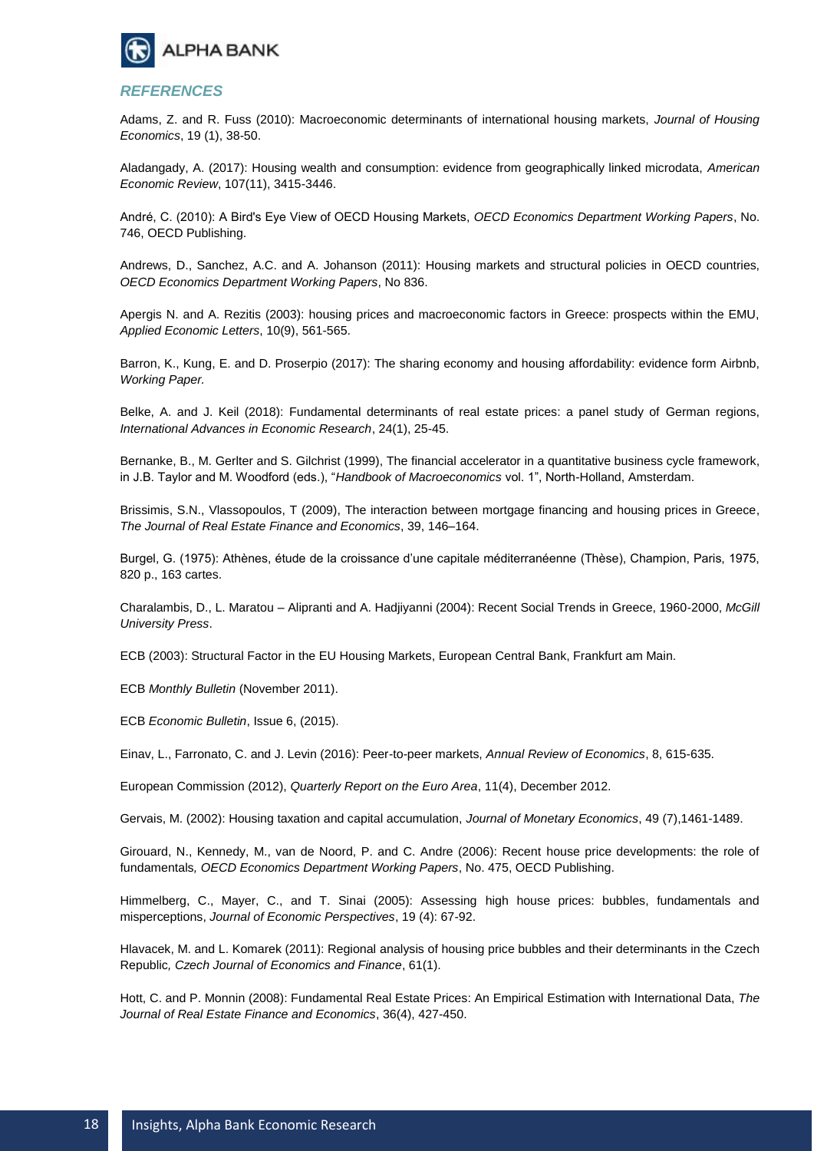

#### *REFERENCES*

Adams, Z. and R. Fuss (2010): Macroeconomic determinants of international housing markets, *Journal of Housing Economics*, 19 (1), 38-50.

Aladangady, A. (2017): Housing wealth and consumption: evidence from geographically linked microdata, *American Economic Review*, 107(11), 3415-3446.

André, C. (2010): A Bird's Eye View of OECD Housing Markets, *OECD Economics Department Working Papers*, No. 746, OECD Publishing.

Andrews, D., Sanchez, A.C. and A. Johanson (2011): Housing markets and structural policies in OECD countries, *OECD Economics Department Working Papers*, No 836.

Apergis N. and A. Rezitis (2003): housing prices and macroeconomic factors in Greece: prospects within the EMU, *Applied Economic Letters*, 10(9), 561-565.

Barron, K., Kung, E. and D. Proserpio (2017): The sharing economy and housing affordability: evidence form Airbnb, *Working Paper.*

Belke, A. and J. Keil (2018): Fundamental determinants of real estate prices: a panel study of German regions, *International Advances in Economic Research*, 24(1), 25-45.

Bernanke, B., M. Gerlter and S. Gilchrist (1999), The financial accelerator in a quantitative business cycle framework, in J.B. Taylor and M. Woodford (eds.), "*Handbook of Macroeconomics* vol. 1", North-Holland, Amsterdam.

Brissimis, S.N., Vlassopoulos, T (2009), The interaction between mortgage financing and housing prices in Greece, *The Journal of Real Estate Finance and Economics*, 39, 146–164.

Burgel, G. (1975): Athènes, étude de la croissance d'une capitale méditerranéenne (Thèse), Champion, Paris, 1975, 820 p., 163 cartes.

Charalambis, D., L. Maratou – Alipranti and A. Hadjiyanni (2004): Recent Social Trends in Greece, 1960-2000, *McGill University Press*.

ECB (2003): Structural Factor in the EU Housing Markets, European Central Bank, Frankfurt am Main.

ECB *Monthly Bulletin* (November 2011).

ECB *Economic Bulletin*, Issue 6, (2015).

Einav, L., Farronato, C. and J. Levin (2016): Peer-to-peer markets, *Annual Review of Economics*, 8, 615-635.

European Commission (2012), *Quarterly Report on the Euro Area*, 11(4), December 2012.

Gervais, M. (2002): Housing taxation and capital accumulation, *Journal of Monetary Economics*, 49 (7),1461-1489.

Girouard, N., Kennedy, M., van de Noord, P. and C. Andre (2006): Recent house price developments: the role of fundamentals*, OECD Economics Department Working Papers*, No. 475, OECD Publishing.

Himmelberg, C., Mayer, C., and T. Sinai (2005): Assessing high house prices: bubbles, fundamentals and misperceptions, *Journal of Economic Perspectives*, 19 (4): 67-92.

Hlavacek, M. and L. Komarek (2011): Regional analysis of housing price bubbles and their determinants in the Czech Republic*, Czech Journal of Economics and Finance*, 61(1).

Hott, C. and P. Monnin (2008): Fundamental Real Estate Prices: An Empirical Estimation with International Data, *The Journal of Real Estate Finance and Economics*, 36(4), 427-450.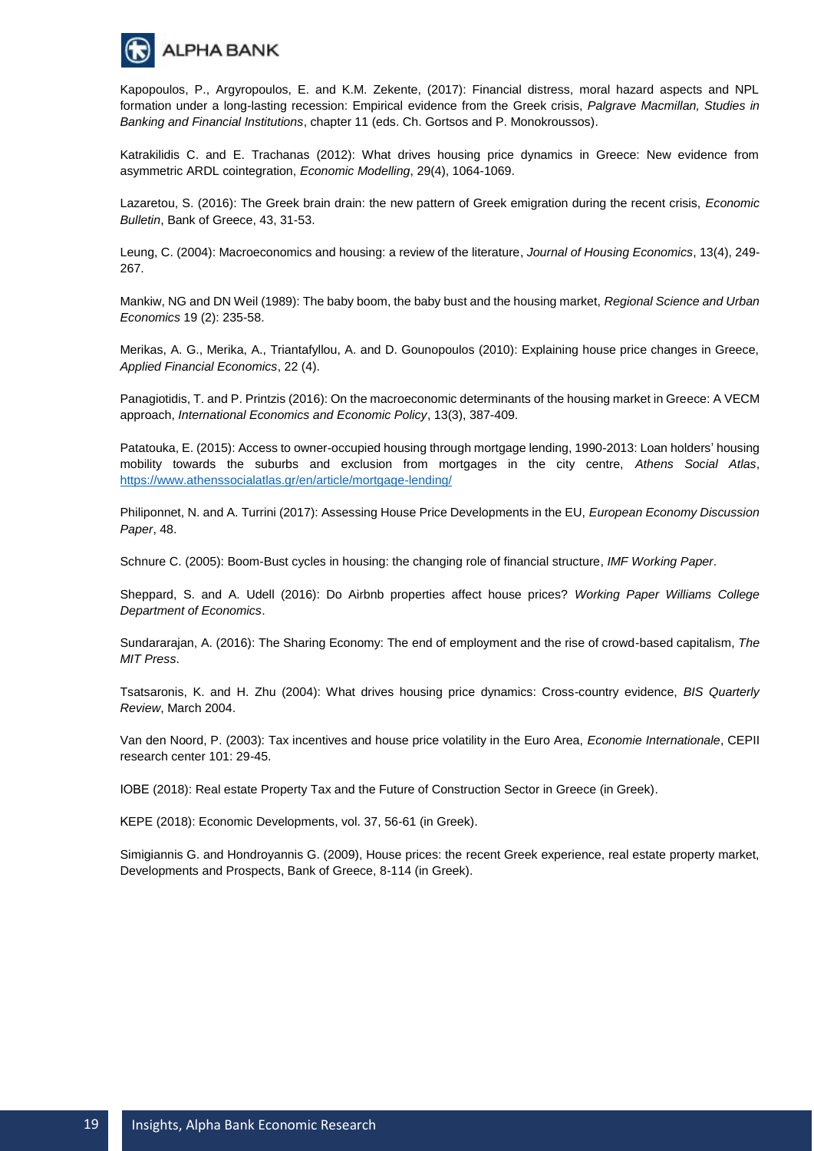

Kapopoulos, P., Argyropoulos, E. and K.M. Zekente, (2017): Financial distress, moral hazard aspects and NPL formation under a long-lasting recession: Empirical evidence from the Greek crisis, *Palgrave Macmillan, Studies in Banking and Financial Institutions*, chapter 11 (eds. Ch. Gortsos and P. Monokroussos).

Katrakilidis C. and E. Trachanas (2012): What drives housing price dynamics in Greece: New evidence from asymmetric ARDL cointegration, *Economic Modelling*, 29(4), 1064-1069.

Lazaretou, S. (2016): The Greek brain drain: the new pattern of Greek emigration during the recent crisis, *Economic Bulletin*, Bank of Greece, 43, 31-53.

Leung, C. (2004): Macroeconomics and housing: a review of the literature, *Journal of Housing Economics*, 13(4), 249- 267.

Mankiw, NG and DN Weil (1989): The baby boom, the baby bust and the housing market, *Regional Science and Urban Economics* 19 (2): 235-58.

Merikas, A. G., Merika, A., Triantafyllou, A. and D. Gounopoulos (2010): Explaining house price changes in Greece, *Applied Financial Economics*, 22 (4).

Panagiotidis, T. and P. Printzis (2016): On the macroeconomic determinants of the housing market in Greece: A VECM approach, *International Economics and Economic Policy*, 13(3), 387-409.

Patatouka, E. (2015): Access to owner-occupied housing through mortgage lending, 1990-2013: Loan holders' housing mobility towards the suburbs and exclusion from mortgages in the city centre, *Athens Social Atlas*, <https://www.athenssocialatlas.gr/en/article/mortgage-lending/>

Philiponnet, N. and A. Turrini (2017): Assessing House Price Developments in the EU, *European Economy Discussion Paper*, 48.

Schnure C. (2005): Boom-Bust cycles in housing: the changing role of financial structure, *IMF Working Paper*.

Sheppard, S. and A. Udell (2016): Do Airbnb properties affect house prices? *Working Paper Williams College Department of Economics*.

Sundararajan, A. (2016): The Sharing Economy: The end of employment and the rise of crowd-based capitalism, *The MIT Press*.

Tsatsaronis, K. and H. Zhu (2004): What drives housing price dynamics: Cross-country evidence, *BIS Quarterly Review*, March 2004.

Van den Noord, P. (2003): Tax incentives and house price volatility in the Euro Area, *Economie Internationale*, CEPII research center 101: 29-45.

ΙΟΒΕ (2018): Real estate Property Tax and the Future of Construction Sector in Greece (in Greek).

ΚEPE (2018): Economic Developments, vol. 37, 56-61 (in Greek).

Simigiannis G. and Hondroyannis G. (2009), House prices: the recent Greek experience, real estate property market, Developments and Prospects, Bank of Greece, 8-114 (in Greek).